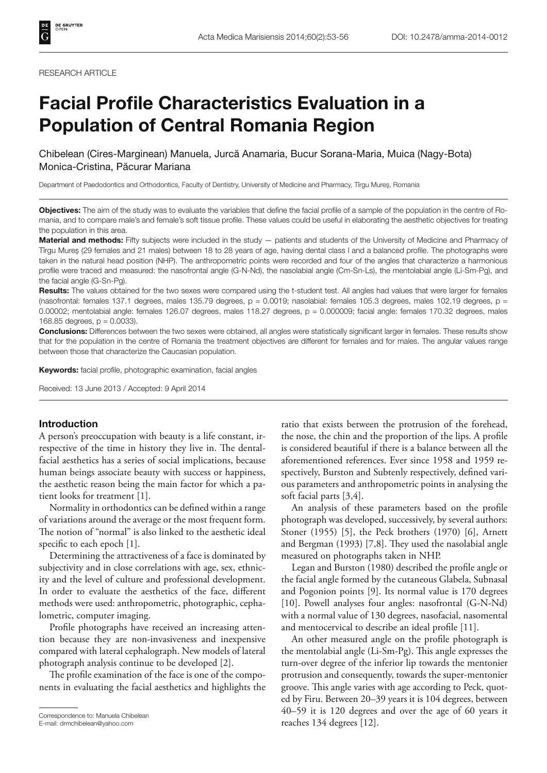# **Facial Profile Characteristics Evaluation in a Population of Central Romania Region**

Chibelean (Cires-Marginean) Manuela, Jurcă Anamaria, Bucur Sorana-Maria, Muica (Nagy-Bota) Monica-Cristina, Păcurar Mariana

Department of Paedodontics and Orthodontics, Faculty of Dentistry, University of Medicine and Pharmacy, Tîrgu Mureș, Romania

**Objectives:** The aim of the study was to evaluate the variables that define the facial profile of a sample of the population in the centre of Romania, and to compare male's and female's soft tissue profile. These values could be useful in elaborating the aesthetic objectives for treating the population in this area.

**Material and methods:** Fifty subjects were included in the study — patients and students of the University of Medicine and Pharmacy of Tîrgu Mureș (29 females and 21 males) between 18 to 28 years of age, having dental class I and a balanced profile. The photographs were taken in the natural head position (NHP). The anthropometric points were recorded and four of the angles that characterize a harmonious profile were traced and measured: the nasofrontal angle (G-N-Nd), the nasolabial angle (Cm-Sn-Ls), the mentolabial angle (Li-Sm-Pg), and the facial angle (G-Sn-Pg).

**Results:** The values obtained for the two sexes were compared using the t-student test. All angles had values that were larger for females (nasofrontal: females 137.1 degrees, males 135.79 degrees,  $p = 0.0019$ ; nasolabial: females 105.3 degrees, males 102.19 degrees,  $p =$ 0.00002; mentolabial angle: females 126.07 degrees, males 118.27 degrees, p = 0.000009; facial angle: females 170.32 degrees, males 168.85 degrees,  $p = 0.0033$ ).

**Conclusions:** Differences between the two sexes were obtained, all angles were statistically significant larger in females. These results show that for the population in the centre of Romania the treatment objectives are different for females and for males. The angular values range between those that characterize the Caucasian population.

Keywords: facial profile, photographic examination, facial angles

Received: 13 June 2013 / Accepted: 9 April 2014

# **Introduction**

A person's preoccupation with beauty is a life constant, irrespective of the time in history they live in. The dentalfacial aesthetics has a series of social implications, because human beings associate beauty with success or happiness, the aesthetic reason being the main factor for which a patient looks for treatment [1].

Normality in orthodontics can be defined within a range of variations around the average or the most frequent form. The notion of "normal" is also linked to the aesthetic ideal specific to each epoch  $[1]$ .

Determining the attractiveness of a face is dominated by subjectivity and in close correlations with age, sex, ethnicity and the level of culture and professional development. In order to evaluate the aesthetics of the face, different methods were used: anthropometric, photographic, cephalometric, computer imaging.

Profile photographs have received an increasing attention because they are non-invasiveness and inexpensive compared with lateral cephalograph. New models of lateral photograph analysis continue to be developed [2].

The profile examination of the face is one of the components in evaluating the facial aesthetics and highlights the

ratio that exists between the protrusion of the forehead, the nose, the chin and the proportion of the lips. A profile is considered beautiful if there is a balance between all the aforementioned references. Ever since 1958 and 1959 respectively, Burston and Subtenly respectively, defined various parameters and anthropometric points in analysing the soft facial parts [3,4].

An analysis of these parameters based on the profile photograph was developed, successively, by several authors: Stoner (1955) [5], the Peck brothers (1970) [6], Arnett and Bergman  $(1993)$  [7,8]. They used the nasolabial angle measured on photographs taken in NHP.

Legan and Burston (1980) described the profile angle or the facial angle formed by the cutaneous Glabela, Subnasal and Pogonion points [9]. Its normal value is 170 degrees [10]. Powell analyses four angles: nasofrontal (G-N-Nd) with a normal value of 130 degrees, nasofacial, nasomental and mentocervical to describe an ideal profile [11].

An other measured angle on the profile photograph is the mentolabial angle (Li-Sm-Pg). This angle expresses the turn-over degree of the inferior lip towards the mentonier protrusion and consequently, towards the super-mentonier groove. This angle varies with age according to Peck, quoted by Firu. Between 20–39 years it is 104 degrees, between 40–59 it is 120 degrees and over the age of 60 years it Correspondence to: Manuela Chibelean<br>
E-mail: drmchibelean@yahoo.com<br>
exactles 134 degrees [12].

E-mail: drmchibelean@yahoo.com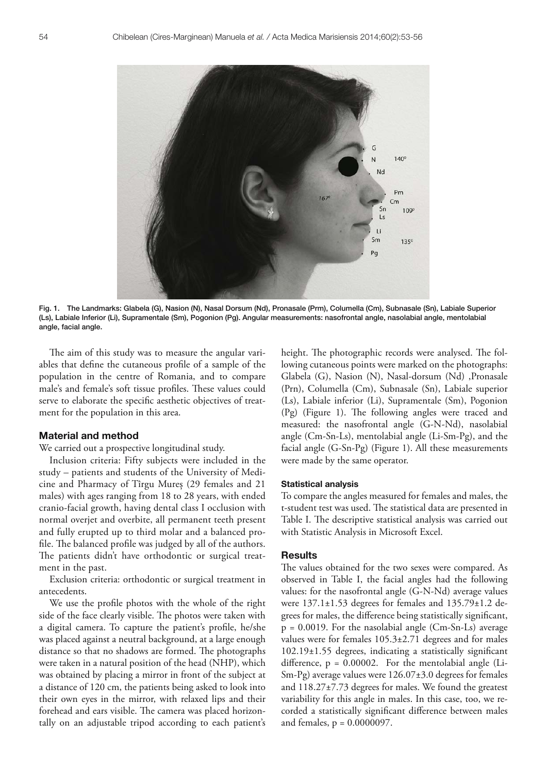

Fig. 1. The Landmarks: Glabela (G), Nasion (N), Nasal Dorsum (Nd), Pronasale (Prm), Columella (Cm), Subnasale (Sn), Labiale Superior (Ls), Labiale Inferior (Li), Supramentale (Sm), Pogonion (Pg). Angular measurements: nasofrontal angle, nasolabial angle, mentolabial angle, facial angle.

The aim of this study was to measure the angular variables that define the cutaneous profile of a sample of the population in the centre of Romania, and to compare male's and female's soft tissue profiles. These values could serve to elaborate the specific aesthetic objectives of treatment for the population in this area.

# **Material and method**

We carried out a prospective longitudinal study.

Inclusion criteria: Fifty subjects were included in the study – patients and students of the University of Medicine and Pharmacy of Tîrgu Mureș (29 females and 21 males) with ages ranging from 18 to 28 years, with ended cranio-facial growth, having dental class I occlusion with normal overjet and overbite, all permanent teeth present and fully erupted up to third molar and a balanced profile. The balanced profile was judged by all of the authors. The patients didn't have orthodontic or surgical treatment in the past.

Exclusion criteria: orthodontic or surgical treatment in antecedents.

We use the profile photos with the whole of the right side of the face clearly visible. The photos were taken with a digital camera. To capture the patient's profile, he/she was placed against a neutral background, at a large enough distance so that no shadows are formed. The photographs were taken in a natural position of the head (NHP), which was obtained by placing a mirror in front of the subject at a distance of 120 cm, the patients being asked to look into their own eyes in the mirror, with relaxed lips and their forehead and ears visible. The camera was placed horizontally on an adjustable tripod according to each patient's

height. The photographic records were analysed. The following cutaneous points were marked on the photographs: Glabela (G), Nasion (N), Nasal-dorsum (Nd) ,Pronasale (Prn), Columella (Cm), Subnasale (Sn), Labiale superior (Ls), Labiale inferior (Li), Supramentale (Sm), Pogonion  $(Pg)$  (Figure 1). The following angles were traced and measured: the nasofrontal angle (G-N-Nd), nasolabial angle (Cm-Sn-Ls), mentolabial angle (Li-Sm-Pg), and the facial angle (G-Sn-Pg) (Figure 1). All these measurements were made by the same operator.

## **Statistical analysis**

To compare the angles measured for females and males, the t-student test was used. The statistical data are presented in Table I. The descriptive statistical analysis was carried out with Statistic Analysis in Microsoft Excel.

### **Results**

The values obtained for the two sexes were compared. As observed in Table I, the facial angles had the following values: for the nasofrontal angle (G-N-Nd) average values were 137.1±1.53 degrees for females and 135.79±1.2 degrees for males, the difference being statistically significant,  $p = 0.0019$ . For the nasolabial angle (Cm-Sn-Ls) average values were for females 105.3±2.71 degrees and for males  $102.19\pm1.55$  degrees, indicating a statistically significant difference,  $p = 0.00002$ . For the mentolabial angle (Li-Sm-Pg) average values were 126.07±3.0 degrees for females and 118.27±7.73 degrees for males. We found the greatest variability for this angle in males. In this case, too, we recorded a statistically significant difference between males and females,  $p = 0.0000097$ .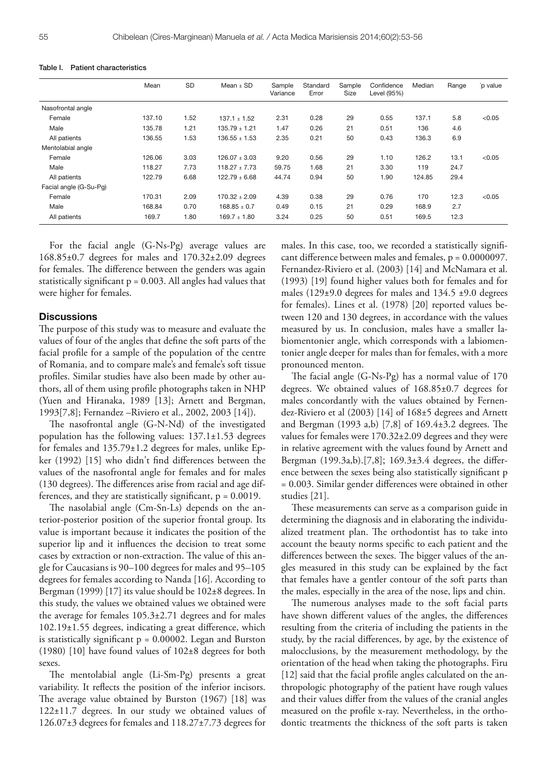|                        | Mean   | SD   | Mean $\pm$ SD     | Sample<br>Variance | Standard<br>Error | Sample<br>Size | Confidence<br>Level (95%) | Median | Range | p value |
|------------------------|--------|------|-------------------|--------------------|-------------------|----------------|---------------------------|--------|-------|---------|
| Nasofrontal angle      |        |      |                   |                    |                   |                |                           |        |       |         |
| Female                 | 137.10 | 1.52 | $137.1 \pm 1.52$  | 2.31               | 0.28              | 29             | 0.55                      | 137.1  | 5.8   | < 0.05  |
| Male                   | 135.78 | 1.21 | $135.79 \pm 1.21$ | 1.47               | 0.26              | 21             | 0.51                      | 136    | 4.6   |         |
| All patients           | 136.55 | 1.53 | $136.55 + 1.53$   | 2.35               | 0.21              | 50             | 0.43                      | 136.3  | 6.9   |         |
| Mentolabial angle      |        |      |                   |                    |                   |                |                           |        |       |         |
| Female                 | 126.06 | 3.03 | $126.07 + 3.03$   | 9.20               | 0.56              | 29             | 1.10                      | 126.2  | 13.1  | < 0.05  |
| Male                   | 118.27 | 7.73 | $118.27 \pm 7.73$ | 59.75              | 1.68              | 21             | 3.30                      | 119    | 24.7  |         |
| All patients           | 122.79 | 6.68 | $122.79 \pm 6.68$ | 44.74              | 0.94              | 50             | 1.90                      | 124.85 | 29.4  |         |
| Facial angle (G-Su-Pg) |        |      |                   |                    |                   |                |                           |        |       |         |
| Female                 | 170.31 | 2.09 | $170.32 + 2.09$   | 4.39               | 0.38              | 29             | 0.76                      | 170    | 12.3  | < 0.05  |
| Male                   | 168.84 | 0.70 | $168.85 \pm 0.7$  | 0.49               | 0.15              | 21             | 0.29                      | 168.9  | 2.7   |         |
|                        |        |      |                   |                    |                   |                |                           |        |       |         |

All patients 169.7 1.80 169.7 ± 1.80 3.24 0.25 50 0.51 169.5 12.3

#### Table I. Patient characteristics

For the facial angle (G-Ns-Pg) average values are 168.85±0.7 degrees for males and 170.32±2.09 degrees for females. The difference between the genders was again statistically significant  $p = 0.003$ . All angles had values that were higher for females.

## **Discussions**

The purpose of this study was to measure and evaluate the values of four of the angles that define the soft parts of the facial profile for a sample of the population of the centre of Romania, and to compare male's and female's soft tissue profiles. Similar studies have also been made by other authors, all of them using profile photographs taken in NHP (Yuen and Hiranaka, 1989 [13]; Arnett and Bergman, 1993[7,8]; Fernandez –Riviero et al., 2002, 2003 [14]).

The nasofrontal angle (G-N-Nd) of the investigated population has the following values: 137.1±1.53 degrees for females and 135.79±1.2 degrees for males, unlike Epker  $(1992)$  [15] who didn't find differences between the values of the nasofrontal angle for females and for males  $(130 \text{ degrees})$ . The differences arise from racial and age differences, and they are statistically significant,  $p = 0.0019$ .

The nasolabial angle (Cm-Sn-Ls) depends on the anterior-posterior position of the superior frontal group. Its value is important because it indicates the position of the superior lip and it influences the decision to treat some cases by extraction or non-extraction. The value of this angle for Caucasians is 90–100 degrees for males and 95–105 degrees for females according to Nanda [16]. According to Bergman (1999) [17] its value should be 102±8 degrees. In this study, the values we obtained values we obtained were the average for females 105.3±2.71 degrees and for males  $102.19\pm1.55$  degrees, indicating a great difference, which is statistically significant  $p = 0.00002$ . Legan and Burston (1980) [10] have found values of 102±8 degrees for both sexes.

The mentolabial angle (Li-Sm-Pg) presents a great variability. It reflects the position of the inferior incisors. The average value obtained by Burston (1967) [18] was 122±11.7 degrees. In our study we obtained values of 126.07±3 degrees for females and 118.27±7.73 degrees for

males. In this case, too, we recorded a statistically significant difference between males and females,  $p = 0.0000097$ . Fernandez-Riviero et al. (2003) [14] and McNamara et al. (1993) [19] found higher values both for females and for males (129 $\pm$ 9.0 degrees for males and 134.5  $\pm$ 9.0 degrees for females). Lines et al. (1978) [20] reported values between 120 and 130 degrees, in accordance with the values measured by us. In conclusion, males have a smaller labiomentonier angle, which corresponds with a labiomentonier angle deeper for males than for females, with a more pronounced menton.

The facial angle  $(G-Ns-Pg)$  has a normal value of 170 degrees. We obtained values of 168.85±0.7 degrees for males concordantly with the values obtained by Fernendez-Riviero et al (2003) [14] of 168±5 degrees and Arnett and Bergman (1993 a,b) [7,8] of  $169.4 \pm 3.2$  degrees. The values for females were 170.32±2.09 degrees and they were in relative agreement with the values found by Arnett and Bergman (199.3a,b).[7,8];  $169.3\pm3.4$  degrees, the difference between the sexes being also statistically significant p = 0.003. Similar gender differences were obtained in other studies [21].

These measurements can serve as a comparison guide in determining the diagnosis and in elaborating the individualized treatment plan. The orthodontist has to take into account the beauty norms specific to each patient and the differences between the sexes. The bigger values of the angles measured in this study can be explained by the fact that females have a gentler contour of the soft parts than the males, especially in the area of the nose, lips and chin.

The numerous analyses made to the soft facial parts have shown different values of the angles, the differences resulting from the criteria of including the patients in the study, by the racial differences, by age, by the existence of malocclusions, by the measurement methodology, by the orientation of the head when taking the photographs. Firu [12] said that the facial profile angles calculated on the anthropologic photography of the patient have rough values and their values differ from the values of the cranial angles measured on the profile x-ray. Nevertheless, in the orthodontic treatments the thickness of the soft parts is taken